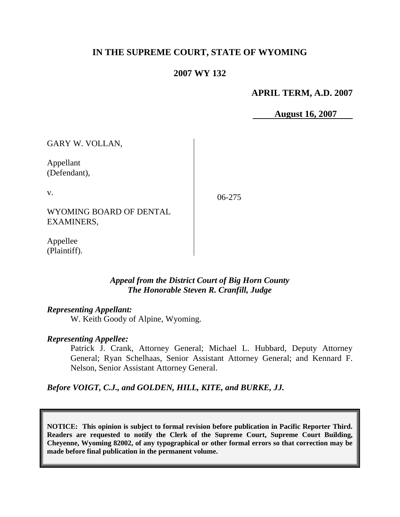# **IN THE SUPREME COURT, STATE OF WYOMING**

## **2007 WY 132**

### **APRIL TERM, A.D. 2007**

 **August 16, 2007**

GARY W. VOLLAN,

Appellant (Defendant),

v.

06-275

WYOMING BOARD OF DENTAL EXAMINERS,

Appellee (Plaintiff).

### *Appeal from the District Court of Big Horn County The Honorable Steven R. Cranfill, Judge*

### *Representing Appellant:*

W. Keith Goody of Alpine, Wyoming.

### *Representing Appellee:*

Patrick J. Crank, Attorney General; Michael L. Hubbard, Deputy Attorney General; Ryan Schelhaas, Senior Assistant Attorney General; and Kennard F. Nelson, Senior Assistant Attorney General.

*Before VOIGT, C.J., and GOLDEN, HILL, KITE, and BURKE, JJ.*

**NOTICE: This opinion is subject to formal revision before publication in Pacific Reporter Third. Readers are requested to notify the Clerk of the Supreme Court, Supreme Court Building, Cheyenne, Wyoming 82002, of any typographical or other formal errors so that correction may be made before final publication in the permanent volume.**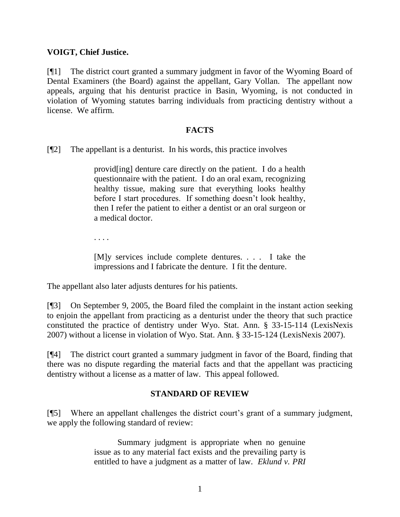### **VOIGT, Chief Justice.**

[¶1] The district court granted a summary judgment in favor of the Wyoming Board of Dental Examiners (the Board) against the appellant, Gary Vollan. The appellant now appeals, arguing that his denturist practice in Basin, Wyoming, is not conducted in violation of Wyoming statutes barring individuals from practicing dentistry without a license. We affirm.

### **FACTS**

[¶2] The appellant is a denturist. In his words, this practice involves

provid[ing] denture care directly on the patient. I do a health questionnaire with the patient. I do an oral exam, recognizing healthy tissue, making sure that everything looks healthy before I start procedures. If something doesn't look healthy, then I refer the patient to either a dentist or an oral surgeon or a medical doctor.

. . . .

[M]y services include complete dentures. . . . I take the impressions and I fabricate the denture. I fit the denture.

The appellant also later adjusts dentures for his patients.

[¶3] On September 9, 2005, the Board filed the complaint in the instant action seeking to enjoin the appellant from practicing as a denturist under the theory that such practice constituted the practice of dentistry under Wyo. Stat. Ann. § 33-15-114 (LexisNexis 2007) without a license in violation of Wyo. Stat. Ann. § 33-15-124 (LexisNexis 2007).

[¶4] The district court granted a summary judgment in favor of the Board, finding that there was no dispute regarding the material facts and that the appellant was practicing dentistry without a license as a matter of law. This appeal followed.

## **STANDARD OF REVIEW**

[¶5] Where an appellant challenges the district court's grant of a summary judgment, we apply the following standard of review:

> Summary judgment is appropriate when no genuine issue as to any material fact exists and the prevailing party is entitled to have a judgment as a matter of law. *Eklund v. PRI*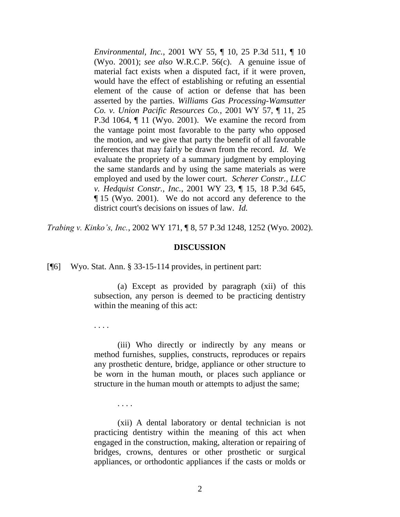*Environmental, Inc.*, 2001 WY 55, ¶ 10, 25 P.3d 511, ¶ 10 (Wyo. 2001); *see also* W.R.C.P. 56(c). A genuine issue of material fact exists when a disputed fact, if it were proven, would have the effect of establishing or refuting an essential element of the cause of action or defense that has been asserted by the parties. *Williams Gas Processing-Wamsutter Co. v. Union Pacific Resources Co.*, 2001 WY 57, ¶ 11, 25 P.3d 1064, ¶ 11 (Wyo. 2001). We examine the record from the vantage point most favorable to the party who opposed the motion, and we give that party the benefit of all favorable inferences that may fairly be drawn from the record. *Id.* We evaluate the propriety of a summary judgment by employing the same standards and by using the same materials as were employed and used by the lower court. *Scherer Constr., LLC v. Hedquist Constr., Inc.*, 2001 WY 23, ¶ 15, 18 P.3d 645, ¶ 15 (Wyo. 2001). We do not accord any deference to the district court's decisions on issues of law. *Id.*

*Trabing v. Kinko's, Inc.*, 2002 WY 171, ¶ 8, 57 P.3d 1248, 1252 (Wyo. 2002).

#### **DISCUSSION**

[¶6] Wyo. Stat. Ann. § 33-15-114 provides, in pertinent part:

(a) Except as provided by paragraph (xii) of this subsection, any person is deemed to be practicing dentistry within the meaning of this act:

. . . .

(iii) Who directly or indirectly by any means or method furnishes, supplies, constructs, reproduces or repairs any prosthetic denture, bridge, appliance or other structure to be worn in the human mouth, or places such appliance or structure in the human mouth or attempts to adjust the same;

. . . .

(xii) A dental laboratory or dental technician is not practicing dentistry within the meaning of this act when engaged in the construction, making, alteration or repairing of bridges, crowns, dentures or other prosthetic or surgical appliances, or orthodontic appliances if the casts or molds or